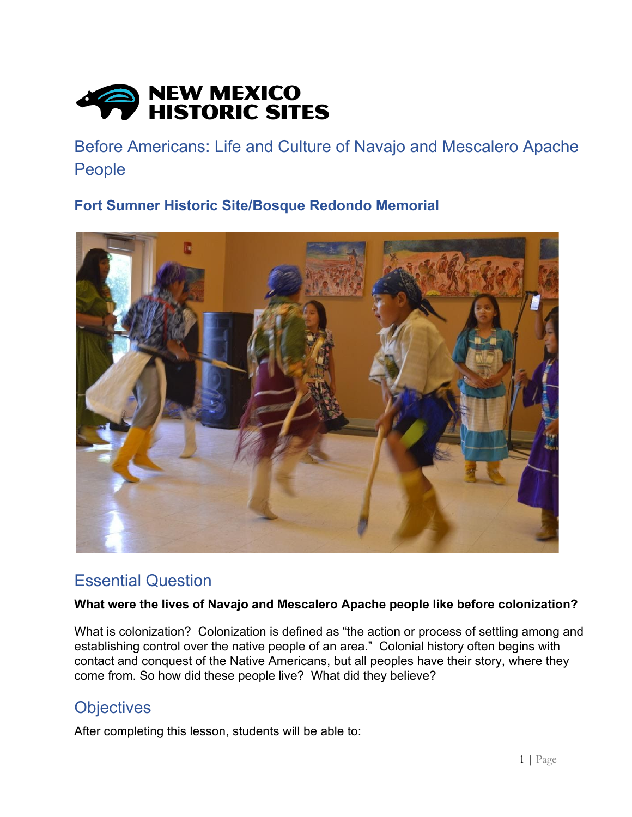

Before Americans: Life and Culture of Navajo and Mescalero Apache People

**Fort Sumner Historic Site/Bosque Redondo Memorial**



## Essential Question

### **What were the lives of Navajo and Mescalero Apache people like before colonization?**

What is colonization? Colonization is defined as "the action or process of settling among and establishing control over the native people of an area." Colonial history often begins with contact and conquest of the Native Americans, but all peoples have their story, where they come from. So how did these people live? What did they believe?

## **Objectives**

After completing this lesson, students will be able to: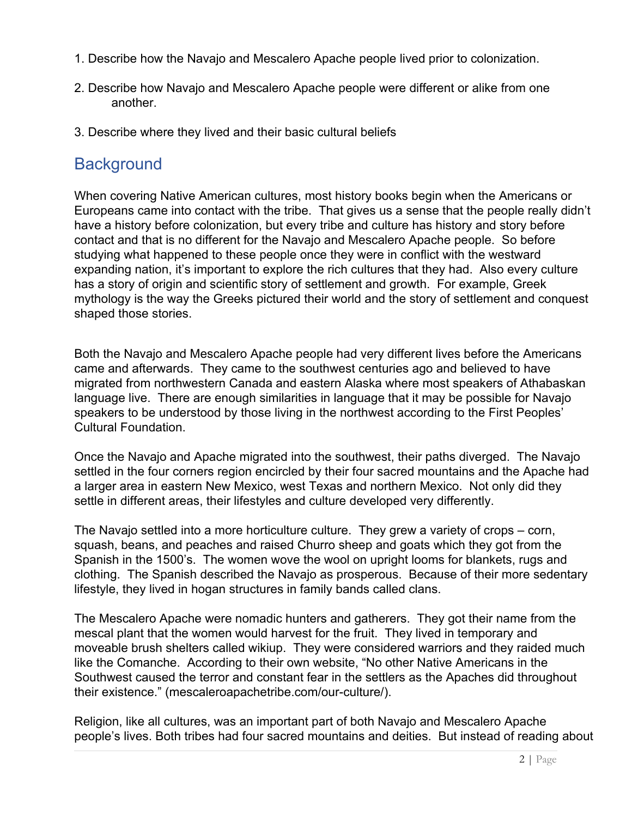- 1. Describe how the Navajo and Mescalero Apache people lived prior to colonization.
- 2. Describe how Navajo and Mescalero Apache people were different or alike from one another.
- 3. Describe where they lived and their basic cultural beliefs

## **Background**

When covering Native American cultures, most history books begin when the Americans or Europeans came into contact with the tribe. That gives us a sense that the people really didn't have a history before colonization, but every tribe and culture has history and story before contact and that is no different for the Navajo and Mescalero Apache people. So before studying what happened to these people once they were in conflict with the westward expanding nation, it's important to explore the rich cultures that they had. Also every culture has a story of origin and scientific story of settlement and growth. For example, Greek mythology is the way the Greeks pictured their world and the story of settlement and conquest shaped those stories.

Both the Navajo and Mescalero Apache people had very different lives before the Americans came and afterwards. They came to the southwest centuries ago and believed to have migrated from northwestern Canada and eastern Alaska where most speakers of Athabaskan language live. There are enough similarities in language that it may be possible for Navajo speakers to be understood by those living in the northwest according to the First Peoples' Cultural Foundation.

Once the Navajo and Apache migrated into the southwest, their paths diverged. The Navajo settled in the four corners region encircled by their four sacred mountains and the Apache had a larger area in eastern New Mexico, west Texas and northern Mexico. Not only did they settle in different areas, their lifestyles and culture developed very differently.

The Navajo settled into a more horticulture culture. They grew a variety of crops – corn, squash, beans, and peaches and raised Churro sheep and goats which they got from the Spanish in the 1500's. The women wove the wool on upright looms for blankets, rugs and clothing. The Spanish described the Navajo as prosperous. Because of their more sedentary lifestyle, they lived in hogan structures in family bands called clans.

The Mescalero Apache were nomadic hunters and gatherers. They got their name from the mescal plant that the women would harvest for the fruit. They lived in temporary and moveable brush shelters called wikiup. They were considered warriors and they raided much like the Comanche. According to their own website, "No other Native Americans in the Southwest caused the terror and constant fear in the settlers as the Apaches did throughout their existence." (mescaleroapachetribe.com/our-culture/).

Religion, like all cultures, was an important part of both Navajo and Mescalero Apache people's lives. Both tribes had four sacred mountains and deities. But instead of reading about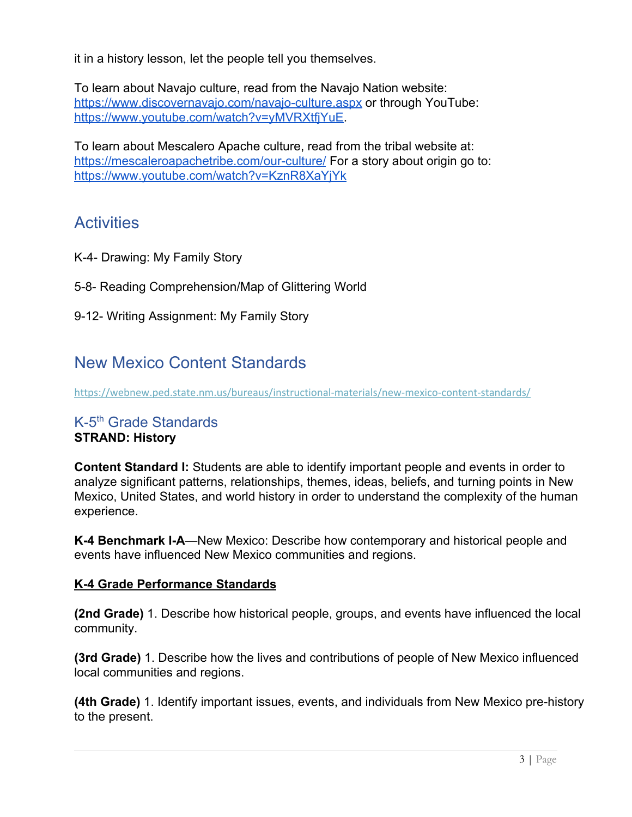it in a history lesson, let the people tell you themselves.

To learn about Navajo culture, read from the Navajo Nation website: <https://www.discovernavajo.com/navajo-culture.aspx> or through YouTube: <https://www.youtube.com/watch?v=yMVRXtfjYuE>.

To learn about Mescalero Apache culture, read from the tribal website at: <https://mescaleroapachetribe.com/our-culture/> For a story about origin go to: <https://www.youtube.com/watch?v=KznR8XaYjYk>

# **Activities**

- K-4- Drawing: My Family Story
- 5-8- Reading Comprehension/Map of Glittering World
- 9-12- Writing Assignment: My Family Story

## New Mexico Content Standards

<https://webnew.ped.state.nm.us/bureaus/instructional-materials/new-mexico-content-standards/>

#### K-5<sup>th</sup> Grade Standards **STRAND: History**

**Content Standard I:** Students are able to identify important people and events in order to analyze significant patterns, relationships, themes, ideas, beliefs, and turning points in New Mexico, United States, and world history in order to understand the complexity of the human

events have influenced New Mexico communities and regions.

experience. **K-4 Benchmark I-A**—New Mexico: Describe how contemporary and historical people and

#### **K-4 Grade Performance Standards**

**(2nd Grade)** 1. Describe how historical people, groups, and events have influenced the local community.

**(3rd Grade)** 1. Describe how the lives and contributions of people of New Mexico influenced local communities and regions.

**(4th Grade)** 1. Identify important issues, events, and individuals from New Mexico pre-history to the present.